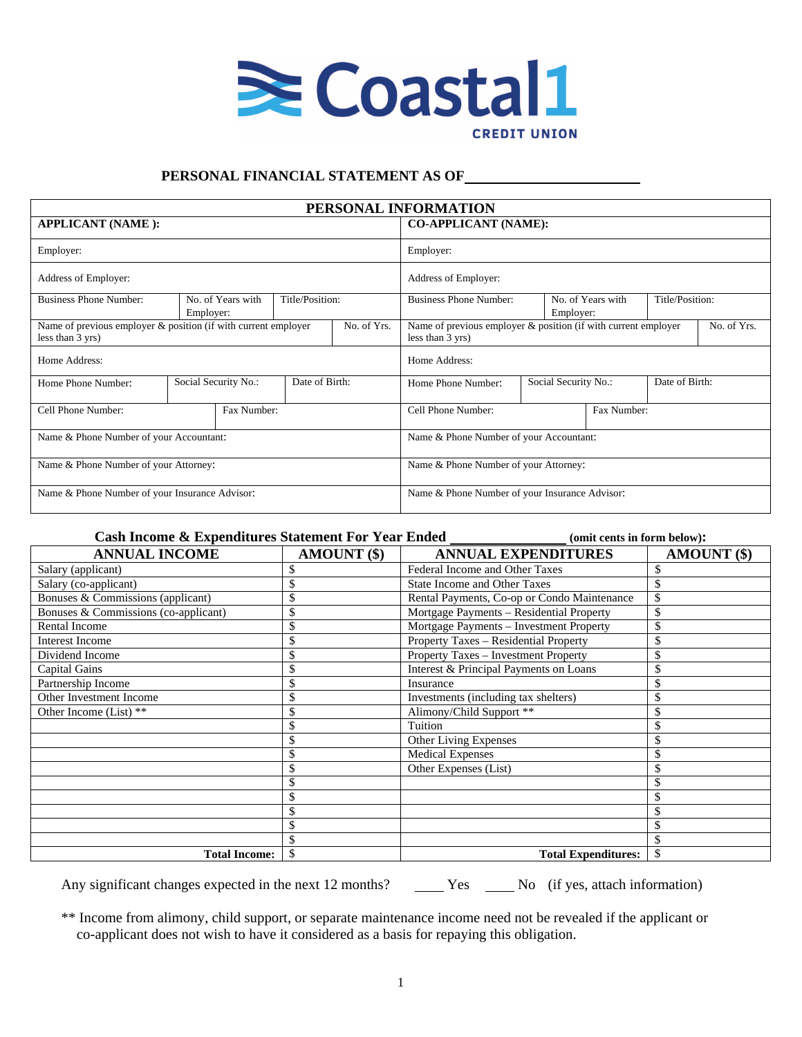

## **PERSONAL FINANCIAL STATEMENT AS OF**

|                                                                                                   |                                        |                 |                                                                                                   | PERSONAL INFORMATION              |                 |                      |                |  |
|---------------------------------------------------------------------------------------------------|----------------------------------------|-----------------|---------------------------------------------------------------------------------------------------|-----------------------------------|-----------------|----------------------|----------------|--|
| <b>APPLICANT (NAME):</b>                                                                          | <b>CO-APPLICANT (NAME):</b>            |                 |                                                                                                   |                                   |                 |                      |                |  |
| Employer:                                                                                         |                                        | Employer:       |                                                                                                   |                                   |                 |                      |                |  |
| Address of Employer:                                                                              |                                        |                 |                                                                                                   |                                   |                 |                      |                |  |
| <b>Business Phone Number:</b>                                                                     | No. of Years with<br>Employer:         | Title/Position: |                                                                                                   | <b>Business Phone Number:</b>     | Title/Position: |                      |                |  |
| Name of previous employer & position (if with current employer<br>No. of Yrs.<br>less than 3 yrs) |                                        |                 | Name of previous employer & position (if with current employer<br>No. of Yrs.<br>less than 3 yrs) |                                   |                 |                      |                |  |
| Home Address:                                                                                     |                                        |                 |                                                                                                   | Home Address:                     |                 |                      |                |  |
| Home Phone Number:                                                                                | Social Security No.:<br>Date of Birth: |                 |                                                                                                   | Home Phone Number:                |                 | Social Security No.: | Date of Birth: |  |
| Cell Phone Number:<br>Fax Number:                                                                 |                                        |                 |                                                                                                   | Cell Phone Number:<br>Fax Number: |                 |                      |                |  |
| Name & Phone Number of your Accountant:                                                           |                                        |                 | Name & Phone Number of your Accountant:                                                           |                                   |                 |                      |                |  |
| Name & Phone Number of your Attorney:                                                             |                                        |                 | Name & Phone Number of your Attorney:                                                             |                                   |                 |                      |                |  |
| Name & Phone Number of your Insurance Advisor:                                                    |                                        |                 | Name & Phone Number of your Insurance Advisor:                                                    |                                   |                 |                      |                |  |

### **Cash Income & Expenditures Statement For Year Ended (Cash Income is in form below): ANNUAL INCOME AMOUNT (\$) ANNUAL EXPENDITURES AMOUNT (\$)** Salary (applicant)  $\sim$  \$ Federal Income and Other Taxes \$ Salary (co-applicant)  $\sim$   $\frac{1}{3}$  State Income and Other Taxes  $\frac{1}{3}$ Bonuses & Commissions (applicant) \$ Rental Payments, Co-op or Condo Maintenance \$ Bonuses & Commissions (co-applicant) \$ Mortgage Payments – Residential Property \$ Rental Income  $\begin{array}{c|c}\n\text{8}\n\end{array}$  Mortgage Payments – Investment Property  $\begin{array}{c}\n\text{8}\n\end{array}$ <br>Interest Income  $\begin{array}{c}\n\text{8}\n\end{array}$ 8 Property Taxes – Residential Property 18 Dividend Income <br>
S<br>
S<br>
S<br>
Therest & Principal Payments on Loans<br>
S<br>
S<br>
Therest & Principal Payments on Loans<br>
S Interest & Principal Payments on Loans Partnership Income \$ Insurance \$  $\S$  Investments (including tax shelters)  $\S$ Other Income (List) \*\* <br>
\$ Alimony/Child Support \*\* \$ \$ Tuition \$ \$ Other Living Expenses \$ \$ Medical Expenses \$ \$ Other Expenses (List) \$  $\mathbb{S}$   $\mathbb{S}$  $\mathbb{S}$   $\mathbb{S}$  $\mathbb{S}$   $\mathbb{S}$  $\mathbb{S}$   $\mathbb{S}$  $\mathbb{S}$   $\mathbb{S}$ **Total Income:** \$ **Total Expenditures:** \$

Any significant changes expected in the next 12 months? <br>
Yes No (if yes, attach information)

\*\* Income from alimony, child support, or separate maintenance income need not be revealed if the applicant or co-applicant does not wish to have it considered as a basis for repaying this obligation.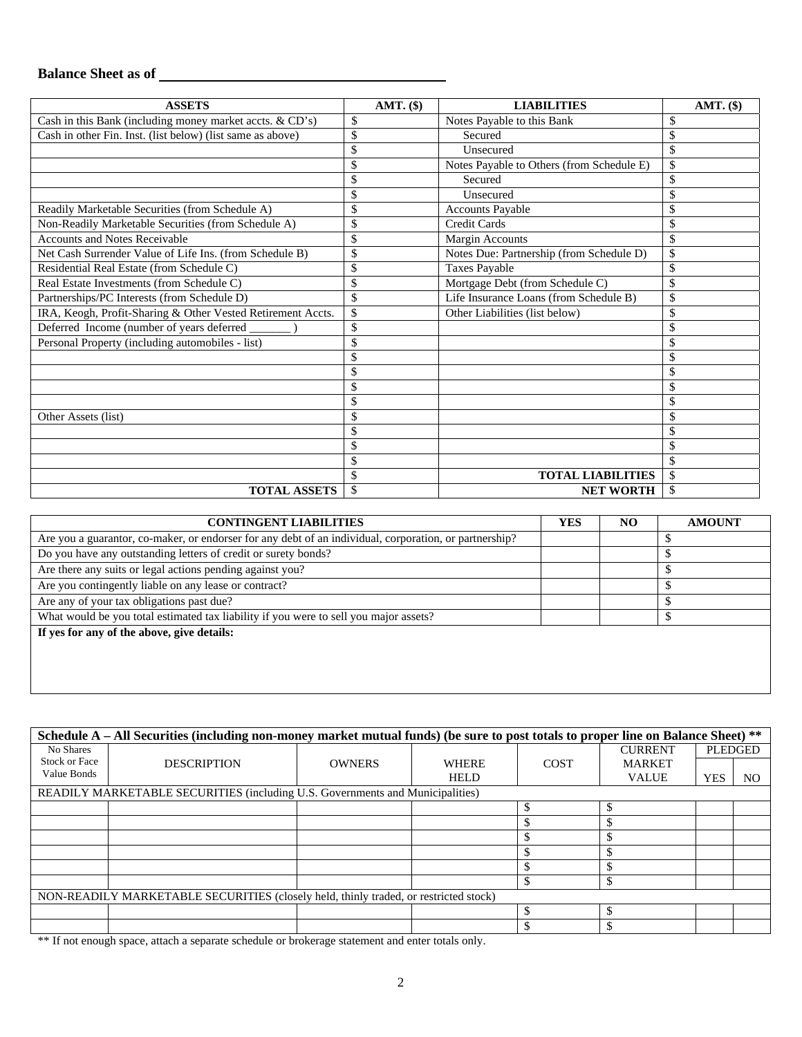# **Balance Sheet as of**

| <b>ASSETS</b>                                               | AMT. (\$) | <b>LIABILITIES</b>                        | AMT. (\$) |
|-------------------------------------------------------------|-----------|-------------------------------------------|-----------|
| Cash in this Bank (including money market accts. & CD's)    | \$        | Notes Payable to this Bank                | \$        |
| Cash in other Fin. Inst. (list below) (list same as above)  |           | Secured                                   |           |
|                                                             |           | Unsecured                                 | \$        |
|                                                             | \$        | Notes Payable to Others (from Schedule E) | \$        |
|                                                             |           | Secured                                   | \$        |
|                                                             | \$        | Unsecured                                 | \$        |
| Readily Marketable Securities (from Schedule A)             | \$        | <b>Accounts Payable</b>                   | \$        |
| Non-Readily Marketable Securities (from Schedule A)         | \$        | Credit Cards                              | \$        |
| <b>Accounts and Notes Receivable</b>                        | \$        | Margin Accounts                           | \$        |
| Net Cash Surrender Value of Life Ins. (from Schedule B)     | \$        | Notes Due: Partnership (from Schedule D)  | \$        |
| Residential Real Estate (from Schedule C)                   | \$        | <b>Taxes Payable</b>                      | \$        |
| Real Estate Investments (from Schedule C)                   | \$        | Mortgage Debt (from Schedule C)           | \$        |
| Partnerships/PC Interests (from Schedule D)                 | \$        | Life Insurance Loans (from Schedule B)    | \$        |
| IRA, Keogh, Profit-Sharing & Other Vested Retirement Accts. | \$        | Other Liabilities (list below)            | \$        |
| Deferred Income (number of years deferred                   | \$        |                                           | \$        |
| Personal Property (including automobiles - list)            |           |                                           | \$        |
|                                                             |           |                                           | \$        |
|                                                             |           |                                           | \$        |
|                                                             |           |                                           | \$        |
|                                                             |           |                                           | \$        |
| Other Assets (list)                                         |           |                                           | \$        |
|                                                             |           |                                           | \$        |
|                                                             | \$        |                                           | \$        |
|                                                             |           |                                           | \$        |
|                                                             | \$        | <b>TOTAL LIABILITIES</b>                  | \$        |
| <b>TOTAL ASSETS</b>                                         | \$        | <b>NET WORTH</b>                          | \$        |

| <b>YES</b> | NO. | <b>AMOUNT</b> |
|------------|-----|---------------|
|            |     |               |
|            |     |               |
|            |     |               |
|            |     | \$            |
|            |     |               |
|            |     |               |
|            |     |               |
|            |     |               |
|            |     |               |
|            |     |               |
|            |     |               |

|                                                                                      | Schedule A – All Securities (including non-money market mutual funds) (be sure to post totals to proper line on Balance Sheet) ** |               |              |             |                |            |                |  |  |  |  |  |
|--------------------------------------------------------------------------------------|-----------------------------------------------------------------------------------------------------------------------------------|---------------|--------------|-------------|----------------|------------|----------------|--|--|--|--|--|
| No Shares                                                                            |                                                                                                                                   |               |              |             | <b>CURRENT</b> |            | <b>PLEDGED</b> |  |  |  |  |  |
| <b>Stock or Face</b>                                                                 | <b>DESCRIPTION</b>                                                                                                                | <b>OWNERS</b> | <b>WHERE</b> | <b>COST</b> | <b>MARKET</b>  |            |                |  |  |  |  |  |
| Value Bonds                                                                          |                                                                                                                                   |               | <b>HELD</b>  |             | <b>VALUE</b>   | <b>YES</b> | NO             |  |  |  |  |  |
|                                                                                      | READILY MARKETABLE SECURITIES (including U.S. Governments and Municipalities)                                                     |               |              |             |                |            |                |  |  |  |  |  |
|                                                                                      |                                                                                                                                   |               |              |             |                |            |                |  |  |  |  |  |
|                                                                                      |                                                                                                                                   |               |              |             |                |            |                |  |  |  |  |  |
|                                                                                      |                                                                                                                                   |               |              |             |                |            |                |  |  |  |  |  |
|                                                                                      |                                                                                                                                   |               |              |             |                |            |                |  |  |  |  |  |
|                                                                                      |                                                                                                                                   |               |              |             |                |            |                |  |  |  |  |  |
|                                                                                      |                                                                                                                                   |               |              |             |                |            |                |  |  |  |  |  |
| NON-READILY MARKETABLE SECURITIES (closely held, thinly traded, or restricted stock) |                                                                                                                                   |               |              |             |                |            |                |  |  |  |  |  |
|                                                                                      |                                                                                                                                   |               |              |             |                |            |                |  |  |  |  |  |
|                                                                                      |                                                                                                                                   |               |              |             |                |            |                |  |  |  |  |  |

\*\* If not enough space, attach a separate schedule or brokerage statement and enter totals only.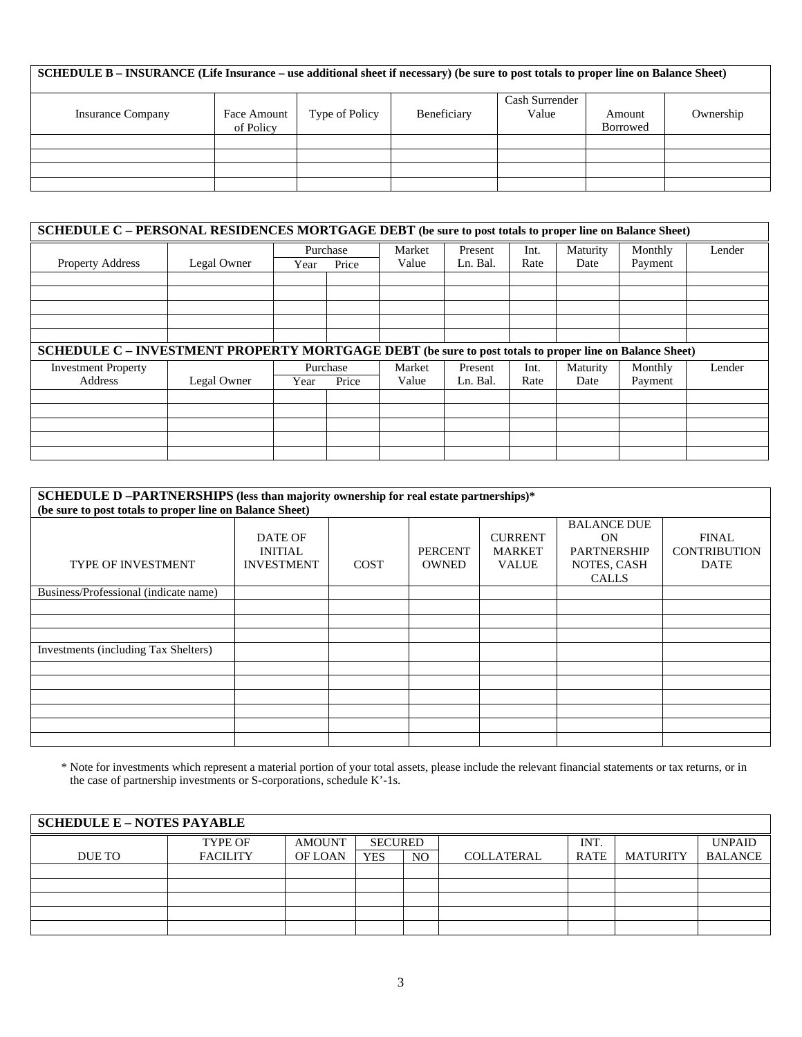| SCHEDULE B – INSURANCE (Life Insurance – use additional sheet if necessary) (be sure to post totals to proper line on Balance Sheet) |                          |                |             |                         |                           |           |  |  |  |  |
|--------------------------------------------------------------------------------------------------------------------------------------|--------------------------|----------------|-------------|-------------------------|---------------------------|-----------|--|--|--|--|
| <b>Insurance Company</b>                                                                                                             | Face Amount<br>of Policy | Type of Policy | Beneficiary | Cash Surrender<br>Value | Amount<br><b>Borrowed</b> | Ownership |  |  |  |  |
|                                                                                                                                      |                          |                |             |                         |                           |           |  |  |  |  |
|                                                                                                                                      |                          |                |             |                         |                           |           |  |  |  |  |
|                                                                                                                                      |                          |                |             |                         |                           |           |  |  |  |  |
|                                                                                                                                      |                          |                |             |                         |                           |           |  |  |  |  |

| SCHEDULE C - PERSONAL RESIDENCES MORTGAGE DEBT (be sure to post totals to proper line on Balance Sheet) |             |          |          |        |          |      |          |         |        |  |  |
|---------------------------------------------------------------------------------------------------------|-------------|----------|----------|--------|----------|------|----------|---------|--------|--|--|
|                                                                                                         |             | Purchase |          | Market | Present  | Int. | Maturity | Monthly | Lender |  |  |
| <b>Property Address</b>                                                                                 | Legal Owner | Year     | Price    | Value  | Ln. Bal. | Rate | Date     | Payment |        |  |  |
|                                                                                                         |             |          |          |        |          |      |          |         |        |  |  |
|                                                                                                         |             |          |          |        |          |      |          |         |        |  |  |
|                                                                                                         |             |          |          |        |          |      |          |         |        |  |  |
|                                                                                                         |             |          |          |        |          |      |          |         |        |  |  |
|                                                                                                         |             |          |          |        |          |      |          |         |        |  |  |
| SCHEDULE C - INVESTMENT PROPERTY MORTGAGE DEBT (be sure to post totals to proper line on Balance Sheet) |             |          |          |        |          |      |          |         |        |  |  |
| <b>Investment Property</b>                                                                              |             |          | Purchase | Market | Present  | Int. | Maturity | Monthly | Lender |  |  |
| Address                                                                                                 | Legal Owner | Year     | Price    | Value  | Ln. Bal. | Rate | Date     | Payment |        |  |  |
|                                                                                                         |             |          |          |        |          |      |          |         |        |  |  |
|                                                                                                         |             |          |          |        |          |      |          |         |        |  |  |
|                                                                                                         |             |          |          |        |          |      |          |         |        |  |  |
|                                                                                                         |             |          |          |        |          |      |          |         |        |  |  |
|                                                                                                         |             |          |          |        |          |      |          |         |        |  |  |

#### **SCHEDULE D –PARTNERSHIPS (less than majority ownership for real estate partnerships)\* (be sure to post totals to proper line on Balance Sheet)**  TYPE OF INVESTMENT DATE OF INITIAL INVESTMENT COST PERCENT **OWNED** CURRENT MARKET VALUE BALANCE DUE ON PARTNERSHIP NOTES, CASH CALLS FINAL **CONTRIBUTION** DATE Business/Professional (indicate name) Investments (including Tax Shelters)

\* Note for investments which represent a material portion of your total assets, please include the relevant financial statements or tax returns, or in the case of partnership investments or S-corporations, schedule K'-1s.

| <b>SCHEDULE E - NOTES PAYABLE</b> |                 |               |                |                |                   |             |                 |                |  |  |
|-----------------------------------|-----------------|---------------|----------------|----------------|-------------------|-------------|-----------------|----------------|--|--|
|                                   | TYPE OF         | <b>AMOUNT</b> | <b>SECURED</b> |                |                   | INT.        |                 | <b>UNPAID</b>  |  |  |
| DUE TO                            | <b>FACILITY</b> | OF LOAN       | <b>YES</b>     | N <sub>O</sub> | <b>COLLATERAL</b> | <b>RATE</b> | <b>MATURITY</b> | <b>BALANCE</b> |  |  |
|                                   |                 |               |                |                |                   |             |                 |                |  |  |
|                                   |                 |               |                |                |                   |             |                 |                |  |  |
|                                   |                 |               |                |                |                   |             |                 |                |  |  |
|                                   |                 |               |                |                |                   |             |                 |                |  |  |
|                                   |                 |               |                |                |                   |             |                 |                |  |  |